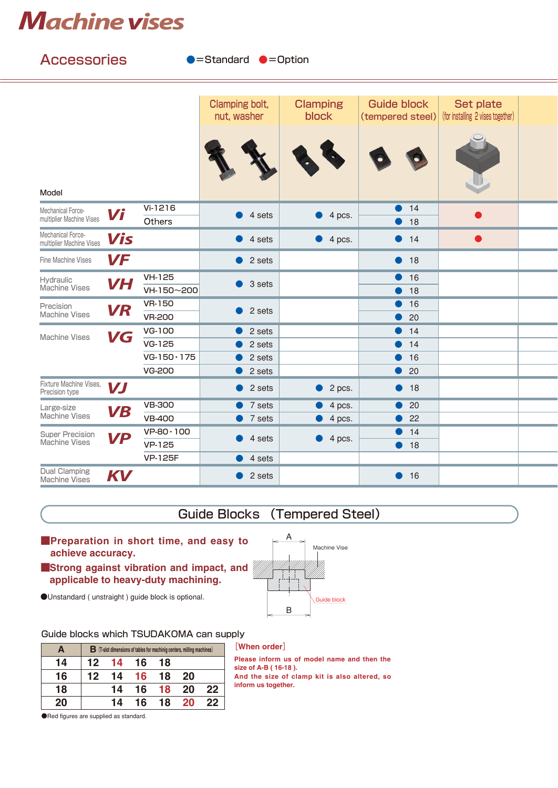# *Machine vises*  $M$ achine vises

| <b>Accessories</b><br>$\bullet$ =Standard $\bullet$ =Option |           |                                |                                                        |                          |                                        |                                                       |  |  |  |  |
|-------------------------------------------------------------|-----------|--------------------------------|--------------------------------------------------------|--------------------------|----------------------------------------|-------------------------------------------------------|--|--|--|--|
|                                                             |           |                                |                                                        |                          |                                        |                                                       |  |  |  |  |
|                                                             |           |                                | Clamping bolt,<br>nut, washer                          | <b>Clamping</b><br>block | <b>Guide block</b><br>(tempered steel) | <b>Set plate</b><br>(for installing 2 vises together) |  |  |  |  |
| Model                                                       |           |                                |                                                        |                          |                                        |                                                       |  |  |  |  |
| Mechanical Force-<br>multiplier Machine Vises               | Vi        | Vi-1216<br>Others              | 4 sets                                                 | 4 pcs.<br>$\bullet$      | 14<br>18                               |                                                       |  |  |  |  |
| Mechanical Force-<br>multiplier Machine Vises               | Vis       |                                | 4 sets                                                 | $\bullet$ 4 pcs.         | $\bullet$ 14                           |                                                       |  |  |  |  |
| Fine Machine Vises                                          | VF        |                                | 2 sets                                                 |                          | 18<br>$\bullet$                        |                                                       |  |  |  |  |
| Hydraulic<br>Machine Vises                                  | <b>VH</b> | <b>VH-125</b><br>VH-150~200    | 3 sets<br>$\bullet$                                    |                          | 16<br>18                               |                                                       |  |  |  |  |
| Precision<br><b>Machine Vises</b>                           | <b>VR</b> | <b>VR-150</b><br><b>VR-200</b> | 2 sets<br>$\bullet$                                    |                          | 16<br>20                               |                                                       |  |  |  |  |
| <b>Machine Vises</b>                                        | VG        | <b>VG-100</b>                  | 2 sets                                                 |                          | 14                                     |                                                       |  |  |  |  |
|                                                             |           | VG-125                         | 2 sets                                                 |                          | 14                                     |                                                       |  |  |  |  |
|                                                             |           | $VG-150 \cdot 175$             | 2 sets<br>16<br>2 sets<br>20<br>$\bullet$<br>$\bullet$ |                          |                                        |                                                       |  |  |  |  |
|                                                             |           | <b>VG-200</b>                  |                                                        |                          |                                        |                                                       |  |  |  |  |
| Fixture Machine Vises,<br>Precision type                    | <b>VJ</b> |                                | 2 sets<br>$\bullet$                                    | 2 pcs.<br>$\bullet$      | 18<br>$\bullet$                        |                                                       |  |  |  |  |
| Large-size<br>Machine Vises                                 | <b>VB</b> | <b>VB-300</b>                  | 7 sets                                                 | 4 pcs.                   | 20                                     |                                                       |  |  |  |  |
|                                                             |           | <b>VB-400</b>                  | 7 sets<br>$\bullet$ .                                  | 4 pcs.                   | 22                                     |                                                       |  |  |  |  |
| <b>Super Precision</b><br>Machine Vises                     | <b>VP</b> | $VP-80 \cdot 100$              | 4 sets                                                 | 4 pcs.<br>$\bullet$      | 14                                     |                                                       |  |  |  |  |
|                                                             |           | VP-125                         |                                                        |                          | 18<br>D                                |                                                       |  |  |  |  |
|                                                             |           | <b>VP-125F</b>                 | 4 sets                                                 |                          |                                        |                                                       |  |  |  |  |
| <b>Dual Clamping</b><br><b>Machine Vises</b>                | KV        |                                | 2 sets<br>D                                            |                          | • 16                                   |                                                       |  |  |  |  |
|                                                             |           |                                |                                                        |                          |                                        |                                                       |  |  |  |  |

## Guide Blocks (Tempered Steel) and the steel of the steel of the steel of the steel Guide Blocks (Tempered Steel)

A

B

A

- achieve accuracy. ■Preparation in short time, and easy to **A**<br> **ACULTER CONS**<br> **ACCELENCE ACCURACY**<br> **A**GUIDE VISE<br> **ACCELENCE ACCURACY**<br> **A**GUIDE UNITY DUBALY DUARDOM A CAN SUPPLY<br> **A**GUIDE BLOCKS Which TSUDAKOMA CAN SUPPLY<br> **A** B [T-Solt dimensions of tables for machining cente
- achieve accuracy.<br>■Strong against vibration and impact, and applicable to heavy-duty machining.
- ●Unstandard ( unstraight ) guide block is optional. <br>● Guide block is optional.

### Guide blocks which TSUDAKOMA can supply

 $\Box$  Block is optional. Guide block is optional. Guide block is optional. Guide block is optional. Guide block is optional. Guide block is optional. Guide block is optional. Guide block is optional. Guide block is optiona

| Guide blocks which TSUDAKOMA can supply |                                                                                  |                |    |                                                                     |
|-----------------------------------------|----------------------------------------------------------------------------------|----------------|----|---------------------------------------------------------------------|
| A                                       | $\mathbf B$ (T-slot dimensions of tables for machiniq centers, milling machines) |                |    | [When order]                                                        |
| 14                                      | 12 14 16 18                                                                      |                |    | Please inform us of model name and then the<br>size of A-B (16-18). |
| 16                                      | 12 14 16 18 20                                                                   |                |    | And the size of clamp kit is also altered, so                       |
| 18                                      |                                                                                  | 14 16 18 20    | 22 | inform us together.                                                 |
| 20                                      |                                                                                  | 14 16 18 20 22 |    |                                                                     |
| Red figures are supplied as standard.   |                                                                                  |                |    |                                                                     |

#### [When order]

Machine Vise

Machine Vise

**14 16 18 20 22 20** ●Red figures are supplied as standard.